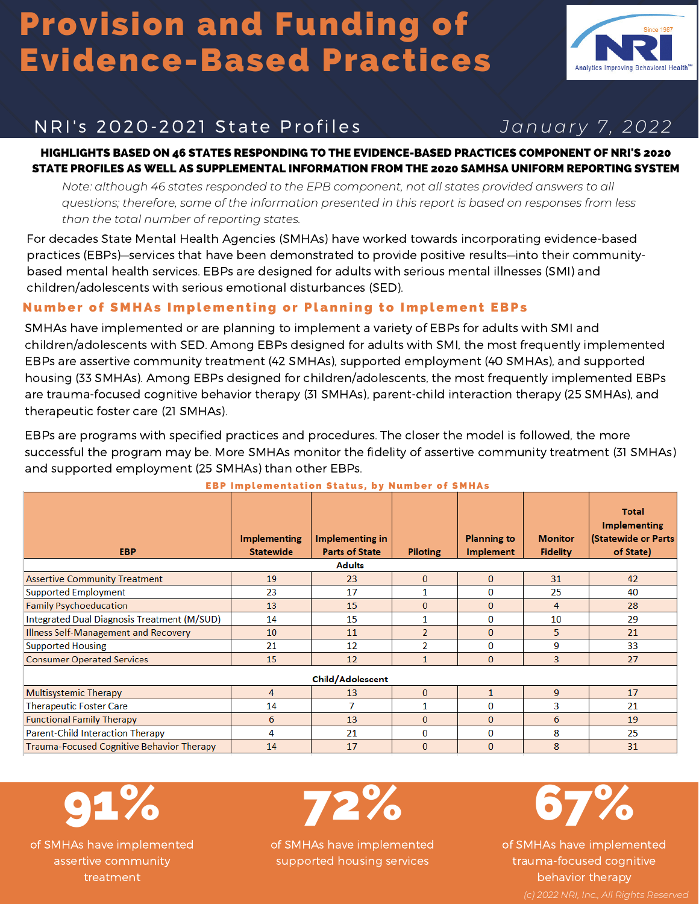# Provision and Funding of Evidence-Based Practices



### NRI' s 2020-2021 State Profi les *Januar y 7, 2022*

HIGHLIGHTS BASED ON 46 STATES RESPONDING TO THE EVIDENCE-BASED PRACTICES COMPONENT OF NRI'S 2020 STATE PROFILES AS WELL AS SUPPLEMENTAL INFORMATION FROM THE 2020 SAMHSA UNIFORM REPORTING SYSTEM

*Note: although 46 states responded to the EPB component, not all states provided answers to all questions; therefore, some of the information presented in this report is based on responses from less than the total number of reporting states.*

For decades State Mental Health Agencies (SMHAs) have worked towards incorporating evidence-based practices (EBPs)—services that have been demonstrated to provide positive results—into their communitybased mental health services. EBPs are designed for adults with serious mental illnesses (SMI) and children/adolescents with serious emotional disturbances (SED).

### Number of S M HAs Implement ing or Planning to Implement EBPs

SMHAs have implemented or are planning to implement a variety of EBPs for adults with SMI and children/adolescents with SED. Among EBPs designed for adults with SMI, the most frequently implemented EBPs are assertive community treatment (42 SMHAs), supported employment (40 SMHAs), and supported housing (33 SMHAs). Among EBPs designed for children/adolescents, the most frequently implemented EBPs are trauma-focused cognitive behavior therapy (31 SMHAs), parent-child interaction therapy (25 SMHAs), and therapeutic foster care (21 SMHAs).

EBPs are programs with specified practices and procedures. The closer the model is followed, the more successful the program may be. More SMHAs monitor the fidelity of assertive community treatment (31 SMHAs) and supported employment (25 SMHAs) than other EBPs.

| <b>EBP</b>                                       | <b>Implementing</b><br><b>Statewide</b> | Implementing in<br><b>Parts of State</b> | <b>Piloting</b> | <b>Planning to</b><br><b>Implement</b> | <b>Monitor</b><br><b>Fidelity</b> | <b>Total</b><br><b>Implementing</b><br>(Statewide or Parts<br>of State) |  |
|--------------------------------------------------|-----------------------------------------|------------------------------------------|-----------------|----------------------------------------|-----------------------------------|-------------------------------------------------------------------------|--|
| <b>Adults</b>                                    |                                         |                                          |                 |                                        |                                   |                                                                         |  |
| <b>Assertive Community Treatment</b>             | 19                                      | 23                                       | $\mathbf{0}$    | $\mathbf{0}$                           | 31                                | 42                                                                      |  |
| <b>Supported Employment</b>                      | 23                                      | 17                                       |                 | 0                                      | 25                                | 40                                                                      |  |
| <b>Family Psychoeducation</b>                    | 13                                      | 15                                       | $\mathbf{0}$    | $\bf{0}$                               | 4                                 | 28                                                                      |  |
| Integrated Dual Diagnosis Treatment (M/SUD)      | 14                                      | 15                                       |                 | 0                                      | 10                                | 29                                                                      |  |
| Illness Self-Management and Recovery             | 10                                      | 11                                       | $\overline{2}$  | $\mathbf{0}$                           | 5                                 | 21                                                                      |  |
| <b>Supported Housing</b>                         | 21                                      | 12                                       | $\overline{2}$  | 0                                      | 9                                 | 33                                                                      |  |
| <b>Consumer Operated Services</b>                | 15                                      | 12                                       | $\mathbf{1}$    | $\mathbf{0}$                           | 3                                 | 27                                                                      |  |
| Child/Adolescent                                 |                                         |                                          |                 |                                        |                                   |                                                                         |  |
| <b>Multisystemic Therapy</b>                     | 4                                       | 13                                       | $\mathbf{0}$    |                                        | $\overline{9}$                    | 17                                                                      |  |
| <b>Therapeutic Foster Care</b>                   | 14                                      |                                          |                 | 0                                      | 3                                 | 21                                                                      |  |
| <b>Functional Family Therapy</b>                 | 6                                       | 13                                       | $\mathbf{0}$    | $\bf{0}$                               | 6                                 | 19                                                                      |  |
| <b>Parent-Child Interaction Therapy</b>          | 4                                       | 21                                       | 0               | 0                                      | 8                                 | 25                                                                      |  |
| <b>Trauma-Focused Cognitive Behavior Therapy</b> | 14                                      | 17                                       | $\mathbf{0}$    | $\mathbf{0}$                           | 8                                 | 31                                                                      |  |

#### **EBP Implementation Status, by Number of SMHAs**

of SMHAs have implemented assertive community treatment



of SMHAs have implemented supported housing services

16 **by**  $7\%$ 

of SMHAs have implemented trauma-focused cognitive behavior therapy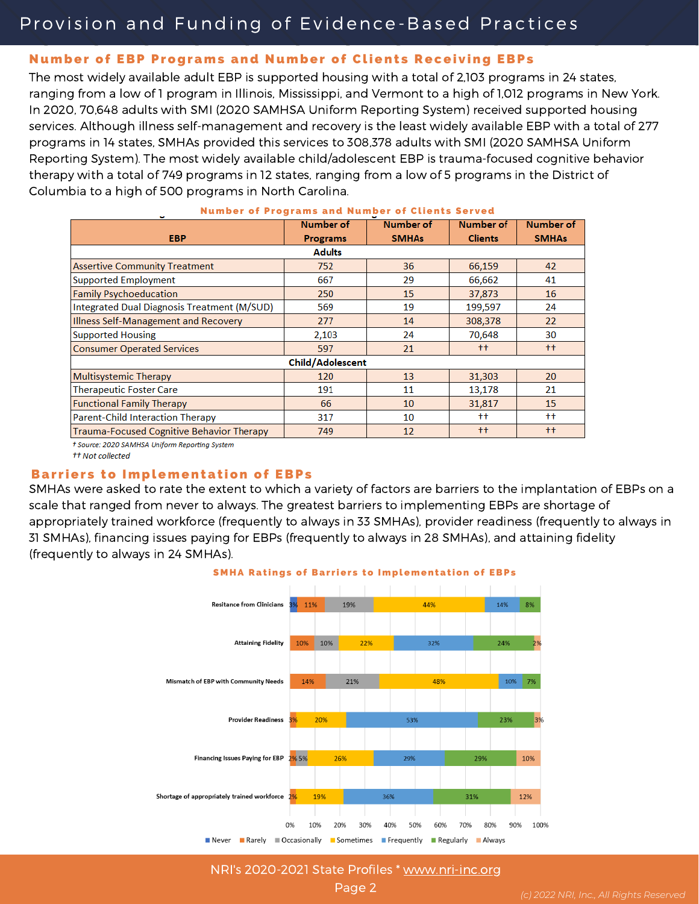### Provision and Funding of Evidence-Based Practices

#### Number of EBP Programs and Number of Clients Receiving EBPs

The most widely available adult EBP is supported housing with a total of 2,103 programs in 24 states, ranging from a low of 1 program in Illinois, Mississippi, and Vermont to a high of 1,012 programs in New York. In 2020, 70,648 adults with SMI (2020 SAMHSA Uniform Reporting System) received supported housing services. Although illness self-management and recovery is the least widely available EBP with a total of 277 programs in 14 states, SMHAs provided this services to 308,378 adults with SMI (2020 SAMHSA Uniform Reporting System). The most widely available child/adolescent EBP is trauma-focused cognitive behavior therapy with a total of 749 programs in 12 states, ranging from a low of 5 programs in the District of Columbia to a high of 500 programs in North Carolina.

|                                                  | <b>Number of</b> | <b>Number of</b>  | <b>Number of</b>    | <b>Number of</b>    |  |  |  |
|--------------------------------------------------|------------------|-------------------|---------------------|---------------------|--|--|--|
| EBP.                                             | <b>Programs</b>  | <b>SMHAs</b>      | <b>Clients</b>      | <b>SMHAs</b>        |  |  |  |
| <b>Adults</b>                                    |                  |                   |                     |                     |  |  |  |
| <b>Assertive Community Treatment</b>             | 752              | 36                | 66,159              | 42                  |  |  |  |
| <b>Supported Employment</b>                      | 667              | 29                | 66,662              | 41                  |  |  |  |
| <b>Family Psychoeducation</b>                    | 250              | 15                | 37,873              | 16                  |  |  |  |
| Integrated Dual Diagnosis Treatment (M/SUD)      | 569              | 19                | 199,597             | 24                  |  |  |  |
| Illness Self-Management and Recovery             | 277              | 14                | 308,378             | 22                  |  |  |  |
| <b>Supported Housing</b>                         | 2,103            | 24                | 70,648              | 30                  |  |  |  |
| <b>Consumer Operated Services</b>                | 597              | 21                | $^{+}$              | $^{++}$             |  |  |  |
| Child/Adolescent                                 |                  |                   |                     |                     |  |  |  |
| <b>Multisystemic Therapy</b>                     | 120              | 13                | 31,303              | 20                  |  |  |  |
| <b>Therapeutic Foster Care</b>                   | 191              | 11                | 13,178              | 21                  |  |  |  |
| <b>Functional Family Therapy</b>                 | 66               | 10                | 31,817              | 15                  |  |  |  |
| <b>Parent-Child Interaction Therapy</b>          | 317              | 10                | $^{\dagger\dagger}$ | $^{\dagger\dagger}$ |  |  |  |
| <b>Trauma-Focused Cognitive Behavior Therapy</b> | 749              | $12 \overline{ }$ | $^{++}$             | $++$                |  |  |  |

#### **Number of Programs and Number of Clients Served**

† Source: 2020 SAMHSA Uniform Reporting System

#### ++ Not collected

#### **Barriers to Implementation of EBPs**

SMHAs were asked to rate the extent to which a variety of factors are barriers to the implantation of EBPs on a scale that ranged from never to always. The greatest barriers to implementing EBPs are shortage of appropriately trained workforce (frequently to always in 33 SMHAs), provider readiness (frequently to always in 31 SMHAs), financing issues paying for EBPs (frequently to always in 28 SMHAs), and attaining fidelity (frequently to always in 24 SMHAs).





NRI's 2020-2021 State Profiles \* [www.nri-inc.org](http://www.nri-inc.org/)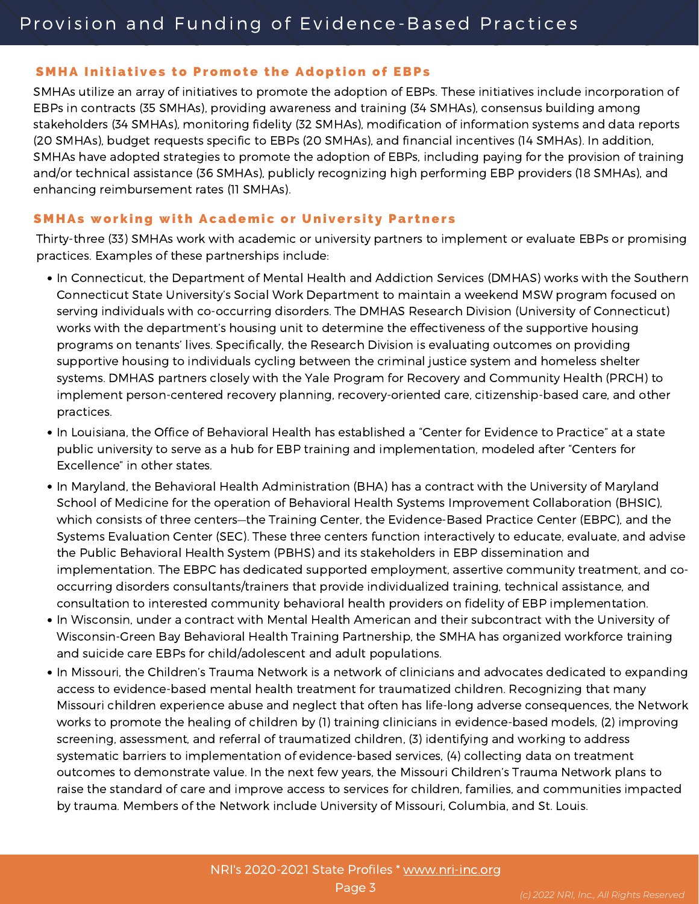#### SMHA Initiatives to Promote the Adoption of EBPs

SMHAs utilize an array of initiatives to promote the adoption of EBPs. These initiatives include incorporation of EBPs in contracts (35 SMHAs), providing awareness and training (34 SMHAs), consensus building among stakeholders (34 SMHAs), monitoring fidelity (32 SMHAs), modification of information systems and data reports (20 SMHAs), budget requests specific to EBPs (20 SMHAs), and financial incentives (14 SMHAs). In addition, SMHAs have adopted strategies to promote the adoption of EBPs, including paying for the provision of training and/or technical assistance (36 SMHAs), publicly recognizing high performing EBP providers (18 SMHAs), and enhancing reimbursement rates (11 SMHAs).

#### **SMHAs working with Academic or University Partners**

Thirty-three (33) SMHAs work with academic or university partners to implement or evaluate EBPs or promising practices. Examples of these partnerships include:

- In Connecticut, the Department of Mental Health and Addiction Services (DMHAS) works with the Southern Connecticut State University's Social Work Department to maintain a weekend MSW program focused on serving individuals with co-occurring disorders. The DMHAS Research Division (University of Connecticut) works with the department's housing unit to determine the effectiveness of the supportive housing programs on tenants' lives. Specifically, the Research Division is evaluating outcomes on providing supportive housing to individuals cycling between the criminal justice system and homeless shelter systems. DMHAS partners closely with the Yale Program for Recovery and Community Health (PRCH) to implement person-centered recovery planning, recovery-oriented care, citizenship-based care, and other practices.
- In Louisiana, the Office of Behavioral Health has established a "Center for Evidence to Practice" at a state public university to serve as a hub for EBP training and implementation, modeled after "Centers for Excellence" in other states.
- In Maryland, the Behavioral Health Administration (BHA) has a contract with the University of Maryland School of Medicine for the operation of Behavioral Health Systems Improvement Collaboration (BHSIC), which consists of three centers—the Training Center, the Evidence-Based Practice Center (EBPC), and the Systems Evaluation Center (SEC). These three centers function interactively to educate, evaluate, and advise the Public Behavioral Health System (PBHS) and its stakeholders in EBP dissemination and implementation. The EBPC has dedicated supported employment, assertive community treatment, and co occurring disorders consultants/trainers that provide individualized training, technical assistance, and consultation to interested community behavioral health providers on fidelity of EBP implementation.
- In Wisconsin, under a contract with Mental Health American and their subcontract with the University of Wisconsin-Green Bay Behavioral Health Training Partnership, the SMHA has organized workforce training and suicide care EBPs for child/adolescent and adult populations.
- In Missouri, the Children's Trauma Network is a network of clinicians and advocates dedicated to expanding access to evidence-based mental health treatment for traumatized children. Recognizing that many Missouri children experience abuse and neglect that often has life-long adverse consequences, the Network works to promote the healing of children by (1) training clinicians in evidence-based models, (2) improving screening, assessment, and referral of traumatized children, (3) identifying and working to address systematic barriers to implementation of evidence-based services, (4) collecting data on treatment outcomes to demonstrate value. In the next few years, the Missouri Children's Trauma Network plans to raise the standard of care and improve access to services for children, families, and communities impacted by trauma. Members of the Network include University of Missouri, Columbia, and St. Louis.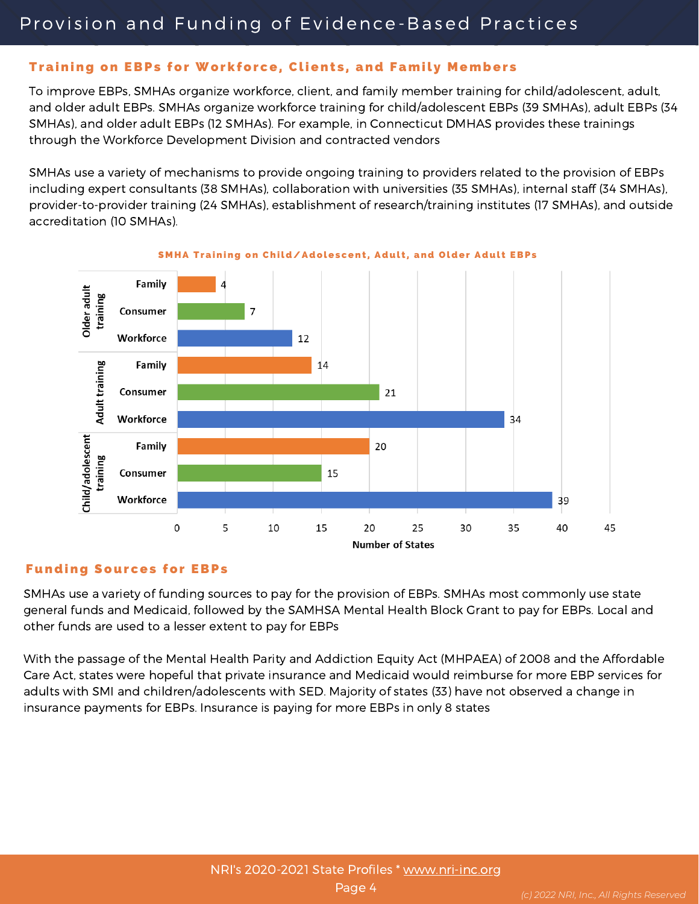#### Training on EBPs for Workforce, Clients, and Family Members

To improve EBPs, SMHAs organize workforce, client, and family member training for child/adolescent, adult, and older adult EBPs. SMHAs organize workforce training for child/adolescent EBPs (39 SMHAs), adult EBPs (34 SMHAs), and older adult EBPs (12 SMHAs). For example, in Connecticut DMHAS provides these trainings through the Workforce Development Division and contracted vendors

SMHAs use a variety of mechanisms to provide ongoing training to providers related to the provision of EBPs including expert consultants (38 SMHAs), collaboration with universities (35 SMHAs), internal staff (34 SMHAs), provider-to-provider training (24 SMHAs), establishment of research/training institutes (17 SMHAs), and outside accreditation (10 SMHAs).



SMHA Training on Child/Adolescent, Adult, and Older Adult EBPs

#### **Funding Sources for EBPs**

SMHAs use a variety of funding sources to pay for the provision of EBPs. SMHAs most commonly use state general funds and Medicaid, followed by the SAMHSA Mental Health Block Grant to pay for EBPs. Local and other funds are used to a lesser extent to pay for EBPs

With the passage of the Mental Health Parity and Addiction Equity Act (MHPAEA) of 2008 and the Affordable Care Act, states were hopeful that private insurance and Medicaid would reimburse for more EBP services for adults with SMI and children/adolescents with SED. Majority of states (33) have not observed a change in insurance payments for EBPs. Insurance is paying for more EBPs in only 8 states